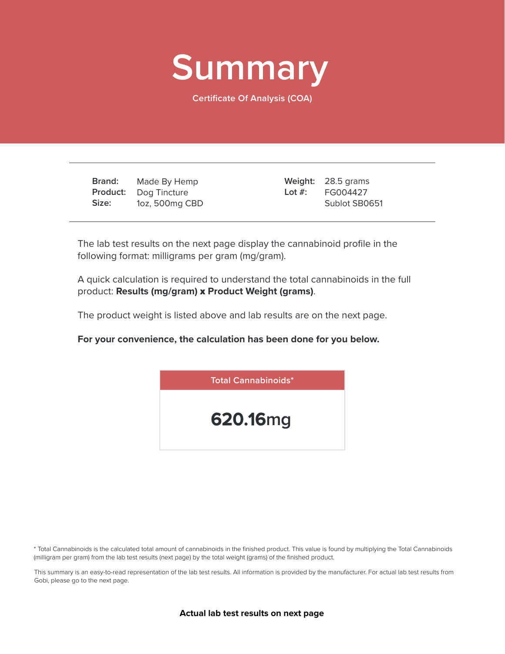

**Certificate Of Analysis (COA)**

**Brand: Product:** Dog Tincture **Size:** Made By Hemp 1oz, 500mg CBD

28.5 grams **Weight:** FG004427 Sublot SB0651 **Lot #:**

The lab test results on the next page display the cannabinoid profile in the following format: milligrams per gram (mg/gram).

A quick calculation is required to understand the total cannabinoids in the full product: **Results (mg/gram)** x **Product Weight (grams)**.

The product weight is listed above and lab results are on the next page.

**For your convenience, the calculation has been done for you below.**



\* Total Cannabinoids is the calculated total amount of cannabinoids in the finished product. This value is found by multiplying the Total Cannabinoids (milligram per gram) from the lab test results (next page) by the total weight (grams) of the finished product.

This summary is an easy-to-read representation of the lab test results. All information is provided by the manufacturer. For actual lab test results from Gobi, please go to the next page.